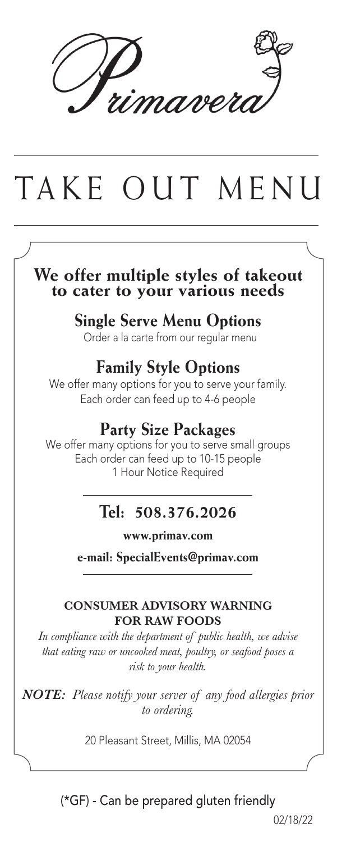namer

# TAKE OUT MENU

# **We offer multiple styles of takeout to cater to your various needs**

#### **Single Serve Menu Options**

Order a la carte from our regular menu

#### **Family Style Options**

We offer many options for you to serve your family. Each order can feed up to 4-6 people

#### **Party Size Packages**

We offer many options for you to serve small groups Each order can feed up to 10-15 people 1 Hour Notice Required

### **Tel: 508.376.2026**

**www.primav.com**

**e-mail: SpecialEvents@primav.com**

#### **CONSUMER ADVISORY WARNING FOR RAW FOODS**

*In compliance with the department of public health, we advise that eating raw or uncooked meat, poultry, or seafood poses a risk to your health.*

*NOTE: Please notify your server of any food allergies prior to ordering.*

20 Pleasant Street, Millis, MA 02054

(\*GF) - Can be prepared gluten friendly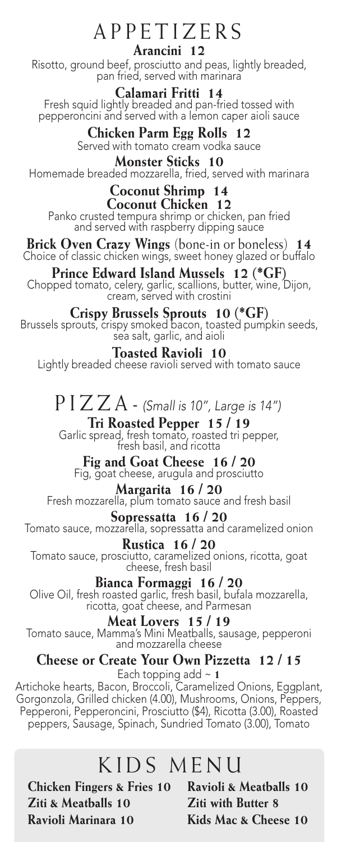#### APPETIZERS **Arancini 12**

Risotto, ground beef, prosciutto and peas, lightly breaded, pan fried, served with marinara

**Calamari Fritti 14** Fresh squid lightly breaded and pan-fried tossed with pepperoncini and served with a lemon caper aioli sauce

**Chicken Parm Egg Rolls 12** 

Served with tomato cream vodka sauce **Monster Sticks 10** Homemade breaded mozzarella, fried, served with marinara

#### **Coconut Shrimp 14**

**Coconut Chicken 12** Panko crusted tempura shrimp or chicken, pan fried and served with raspberry dipping sauce

**Brick Oven Crazy Wings** (bone-in or boneless) **14** Choice of classic chicken wings, sweet honey glazed or buffalo

**Prince Edward Island Mussels 12 (\*GF)** Chopped tomato, celery, garlic, scallions, butter, wine, Dijon, cream, served with crostini

**Crispy Brussels Sprouts 10 (\*GF)** Brussels sprouts, crispy smoked bacon, toasted pumpkin seeds, sea salt, garlic, and aioli

**Toasted Ravioli 10** Lightly breaded cheese ravioli served with tomato sauce

## PIZZA- *(Small is 10", Large is 14")*

**Tri Roasted Pepper 15 / 19** Garlic spread, fresh tomato, roasted tri pepper, fresh basil, and ricotta

**Fig and Goat Cheese 16 / 20** Fig, goat cheese, arugula and prosciutto

#### **Margarita 16 / 20**

Fresh mozzarella, plum tomato sauce and fresh basil

**Sopressatta 16 / 20**

Tomato sauce, mozzarella, sopressatta and caramelized onion

**Rustica 16 / 20** Tomato sauce, prosciutto, caramelized onions, ricotta, goat cheese, fresh basil

**Bianca Formaggi 16 / 20**

Olive Oil, fresh roasted garlic, fresh basil, bufala mozzarella,<br>ricotta, goat cheese, and Parmesan

**Meat Lovers 15 / 19** Tomato sauce, Mamma's Mini Meatballs, sausage, pepperoni and mozzarella cheese

**Cheese or Create Your Own Pizzetta 12 / 15**

Each topping add ~ **1**

Artichoke hearts, Bacon, Broccoli, Caramelized Onions, Eggplant, Gorgonzola, Grilled chicken (4.00), Mushrooms, Onions, Peppers, Pepperoni, Pepperoncini, Prosciutto (\$4), Ricotta (3.00), Roasted peppers, Sausage, Spinach, Sundried Tomato (3.00), Tomato

### KIDS MENU

**Chicken Fingers & Fries 10 Ziti & Meatballs 10 Ravioli Marinara 10**

**Ravioli & Meatballs 10 Ziti with Butter 8 Kids Mac & Cheese 10**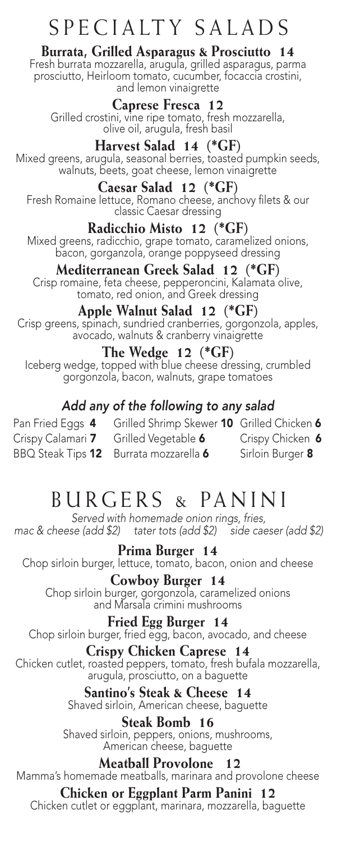### SPECIALTY SALADS

#### **Burrata, Grilled Asparagus & Prosciutto 14**

Fresh burrata mozzarella, arugula, grilled asparagus, parma prosciutto, Heirloom tomato, cucumber, focaccia crostini, and lemon vinaigrette

#### **Caprese Fresca 12**

Grilled crostini, vine ripe tomato, fresh mozzarella,<br>olive oil, arugula, fresh basil

#### **Harvest Salad 14 (\*GF)**

Mixed greens, arugula, seasonal berries, toasted pumpkin seeds, walnuts, beets, goat cheese, lemon vinaigrette

#### **Caesar Salad 12 (\*GF)**

Fresh Romaine lettuce, Romano cheese, anchovy filets & our classic Caesar dressing

#### **Radicchio Misto 12 (\*GF)**

Mixed greens, radicchio, grape tomato, caramelized onions, bacon, gorganzola, orange poppyseed dressing

#### **Mediterranean Greek Salad 12 (\*GF)**

Crisp romaine, feta cheese, pepperoncini, Kalamata olive,<br>tomato, red onion, and Greek dressing

#### **Apple Walnut Salad 12 (\*GF)**

Crisp greens, spinach, sundried cranberries, gorgonzola, apples, avocado, walnuts & cranberry vinaigrette

#### **The Wedge 12 (\*GF)**

Iceberg wedge, topped with blue cheese dressing, crumbled gorgonzola, bacon, walnuts, grape tomatoes

#### *Add any of the following to any salad*

Pan Fried Eggs 4 Grilled Shrimp Skewer 10 Grilled Chicken 6 Crispy Calamari 7 Grilled Vegetable 6 Crispy Chicken 6 BBQ Steak Tips 12 Burrata mozzarella 6 Sirloin Burger 8

### BURGERS & PANINI

*Served with homemade onion rings, fries, mac & cheese (add \$2) tater tots (add \$2) side caeser (add \$2)*

#### **Prima Burger 14**

Chop sirloin burger, lettuce, tomato, bacon, onion and cheese

#### **Cowboy Burger 14**

Chop sirloin burger, gorgonzola, caramelized onions and Marsala crimini mushrooms

#### **Fried Egg Burger 14**

Chop sirloin burger, fried egg, bacon, avocado, and cheese

#### **Crispy Chicken Caprese 14**

Chicken cutlet, roasted peppers, tomato, fresh bufala mozzarella, arugula, prosciutto, on a baguette

#### **Santino's Steak & Cheese 14** Shaved sirloin, American cheese, baguette

**Steak Bomb 16** Shaved sirloin, peppers, onions, mushrooms, American cheese, baguette

#### **Meatball Provolone 12**

Mamma's homemade meatballs, marinara and provolone cheese

#### **Chicken or Eggplant Parm Panini 12**

Chicken cutlet or eggplant, marinara, mozzarella, baguette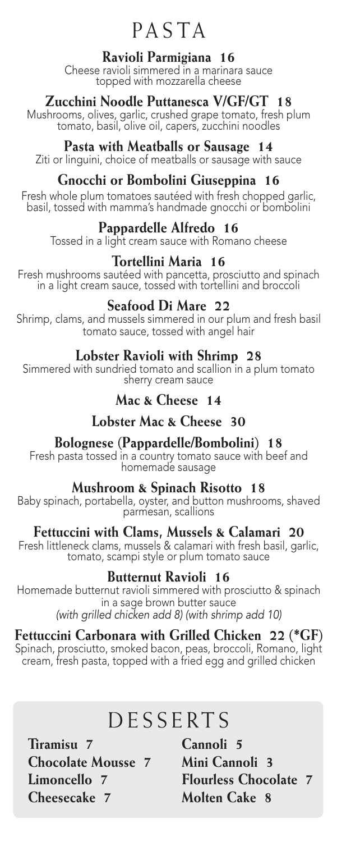### PASTA

#### **Ravioli Parmigiana 16**

Cheese ravioli simmered in a marinara sauce topped with mozzarella cheese

#### **Zucchini Noodle Puttanesca V/GF/GT 18**

Mushrooms, olives, garlic, crushed grape tomato, fresh plum tomato, basil, olive oil, capers, zucchini noodles

#### **Pasta with Meatballs or Sausage 14**

Ziti or linguini, choice of meatballs or sausage with sauce

#### **Gnocchi or Bombolini Giuseppina 16**

Fresh whole plum tomatoes sautéed with fresh chopped garlic, basil, tossed with mamma's handmade gnocchi or bombolini

#### **Pappardelle Alfredo 16**

Tossed in a light cream sauce with Romano cheese

#### **Tortellini Maria 16**

Fresh mushrooms sautéed with pancetta, prosciutto and spinach in a light cream sauce, tossed with tortellini and broccoli

#### **Seafood Di Mare 22**

Shrimp, clams, and mussels simmered in our plum and fresh basil tomato sauce, tossed with angel hair

#### **Lobster Ravioli with Shrimp 28**

Simmered with sundried tomato and scallion in a plum tomato sherry cream sauce

#### **Mac & Cheese 14**

#### **Lobster Mac & Cheese 30**

#### **Bolognese (Pappardelle/Bombolini) 18**

Fresh pasta tossed in a country tomato sauce with beef and<br>homemade sausage

#### **Mushroom & Spinach Risotto 18**

Baby spinach, portabella, oyster, and button mushrooms, shaved parmesan, scallions

#### **Fettuccini with Clams, Mussels & Calamari 20**

Fresh littleneck clams, mussels & calamari with fresh basil, garlic, tomato, scampi style or plum tomato sauce

#### **Butternut Ravioli 16**

Homemade butternut ravioli simmered with prosciutto & spinach in a sage brown butter sauce *(with grilled chicken add 8) (with shrimp add 10)*

#### **Fettuccini Carbonara with Grilled Chicken 22 (\*GF)**

Spinach, prosciutto, smoked bacon, peas, broccoli, Romano, light cream, fresh pasta, topped with a fried egg and grilled chicken

### **DESSERTS**

**Tiramisu 7 Chocolate Mousse 7 Limoncello 7 Cheesecake 7**

**Cannoli 5 Mini Cannoli 3 Flourless Chocolate 7 Molten Cake 8**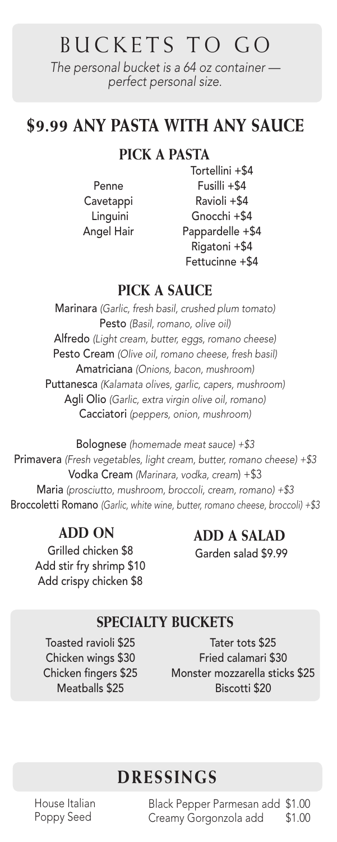## BUCKETS TO GO

*The personal bucket is a 64 oz container perfect personal size.*

### **\$9.99 ANY PASTA WITH ANY SAUCE**

#### **PICK A PASTA**

Penne Cavetappi Linguini Angel Hair

Tortellini +\$4 Fusilli +\$4 Ravioli +\$4 Gnocchi +\$4 Pappardelle +\$4 Rigatoni +\$4 Fettucinne +\$4

#### **PICK A SAUCE**

Marinara *(Garlic, fresh basil, crushed plum tomato)* Pesto *(Basil, romano, olive oil)* Alfredo *(Light cream, butter, eggs, romano cheese)* Pesto Cream *(Olive oil, romano cheese, fresh basil)* Amatriciana *(Onions, bacon, mushroom)* Puttanesca *(Kalamata olives, garlic, capers, mushroom)* Agli Olio *(Garlic, extra virgin olive oil, romano)* Cacciatori *(peppers, onion, mushroom)*

Bolognese *(homemade meat sauce) +\$3* Primavera *(Fresh vegetables, light cream, butter, romano cheese) +\$3* Vodka Cream *(Marinara, vodka, cream*) +\$3 Maria *(prosciutto, mushroom, broccoli, cream, romano) +\$3* Broccoletti Romano *(Garlic, white wine, butter, romano cheese, broccoli) +\$3*

Grilled chicken \$8 Add stir fry shrimp \$10 Add crispy chicken \$8

**ADD ON ADD A SALAD** Garden salad \$9.99

#### **SPECIALTY BUCKETS**

Toasted ravioli \$25 Chicken wings \$30 Chicken fingers \$25 Meatballs \$25

Tater tots \$25 Fried calamari \$30 Monster mozzarella sticks \$25 Biscotti \$20

### **DRESSINGS**

House Italian Poppy Seed

Black Pepper Parmesan add \$1.00 Creamy Gorgonzola add \$1.00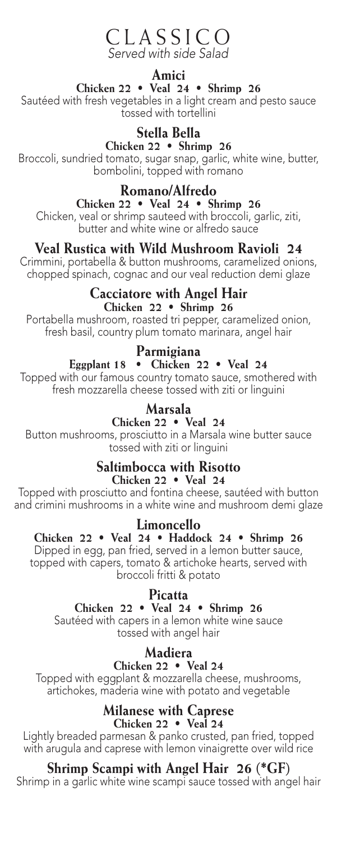#### CLASSICO *Served with side Salad*

#### **Amici**

#### **Chicken 22 • Veal 24 • Shrimp 26**

Sautéed with fresh vegetables in a light cream and pesto sauce tossed with tortellini

#### **Stella Bella**

**Chicken 22 • Shrimp 26**

Broccoli, sundried tomato, sugar snap, garlic, white wine, butter, bombolini, topped with romano

**Romano/Alfredo**

**Chicken 22 • Veal 24 • Shrimp 26** Chicken, veal or shrimp sauteed with broccoli, garlic, ziti, butter and white wine or alfredo sauce

#### **Veal Rustica with Wild Mushroom Ravioli 24**

Crimmini, portabella & button mushrooms, caramelized onions, chopped spinach, cognac and our veal reduction demi glaze

#### **Cacciatore with Angel Hair Chicken 22 • Shrimp 26**

Portabella mushroom, roasted tri pepper, caramelized onion, fresh basil, country plum tomato marinara, angel hair

#### **Parmigiana**

#### **Eggplant 18 • Chicken 22 • Veal 24**

Topped with our famous country tomato sauce, smothered with fresh mozzarella cheese tossed with ziti or linguini

#### **Marsala**

#### **Chicken 22 • Veal 24**

Button mushrooms, prosciutto in a Marsala wine butter sauce tossed with ziti or linguini

#### **Saltimbocca with Risotto**

#### **Chicken 22 • Veal 24**

Topped with prosciutto and fontina cheese, sautéed with button and crimini mushrooms in a white wine and mushroom demi glaze

#### **Limoncello**

#### **Chicken 22 • Veal 24 • Haddock 24 • Shrimp 26** Dipped in egg, pan fried, served in a lemon butter sauce, topped with capers, tomato & artichoke hearts, served with

broccoli fritti & potato

#### **Picatta**

#### **Chicken 22 • Veal 24 • Shrimp 26**

Sautéed with capers in a lemon white wine sauce tossed with angel hair

#### **Madiera**

#### **Chicken 22 • Veal 24**

Topped with eggplant & mozzarella cheese, mushrooms, artichokes, maderia wine with potato and vegetable

#### **Milanese with Caprese Chicken 22 • Veal 24**

Lightly breaded parmesan & panko crusted, pan fried, topped with arugula and caprese with lemon vinaigrette over wild rice

#### **Shrimp Scampi with Angel Hair 26 (\*GF)**

Shrimp in a garlic white wine scampi sauce tossed with angel hair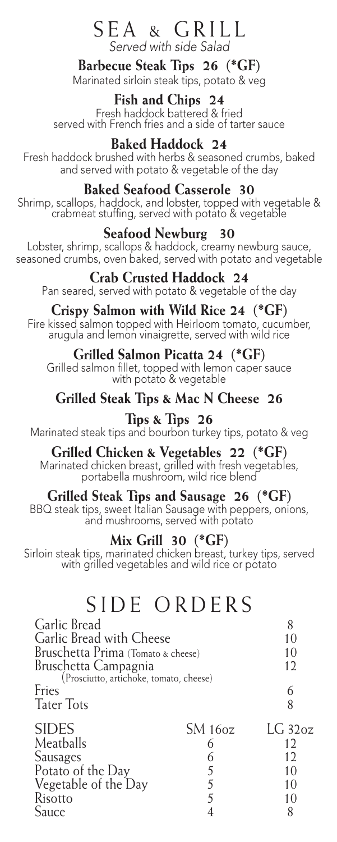#### SEA & GRILL *Served with side Salad*

**Barbecue Steak Tips 26 (\*GF)**

Marinated sirloin steak tips, potato & veg

**Fish and Chips 24** Fresh haddock battered & fried served with French fries and a side of tarter sauce

**Baked Haddock 24**

Fresh haddock brushed with herbs & seasoned crumbs, baked and served with potato & vegetable of the day

#### **Baked Seafood Casserole 30**

Shrimp, scallops, haddock, and lobster, topped with vegetable & crabmeat stuffing, served with potato & vegetable

#### **Seafood Newburg 30**

Lobster, shrimp, scallops & haddock, creamy newburg sauce, seasoned crumbs, oven baked, served with potato and vegetable

#### **Crab Crusted Haddock 24**

Pan seared, served with potato & vegetable of the day

#### **Crispy Salmon with Wild Rice 24 (\*GF)**

Fire kissed salmon topped with Heirloom tomato, cucumber, arugula and lemon vinaigrette, served with wild rice

#### **Grilled Salmon Picatta 24 (\*GF)**

Grilled salmon fillet, topped with lemon caper sauce with potato & vegetable

#### **Grilled Steak Tips & Mac N Cheese 26**

#### **Tips & Tips 26**

Marinated steak tips and bourbon turkey tips, potato & veg

#### **Grilled Chicken & Vegetables 22 (\*GF)**

Marinated chicken breast, grilled with fresh vegetables, portabella mushroom, wild rice blend

#### **Grilled Steak Tips and Sausage 26 (\*GF)**

BBQ steak tips, sweet Italian Sausage with peppers, onions, and mushrooms, served with potato

#### **Mix Grill 30 (\*GF)**

Sirloin steak tips, marinated chicken breast, turkey tips, served with grilled vegetables and wild rice or potato

### SIDE ORDERS

| Garlic Bread                                         |                | 8            |
|------------------------------------------------------|----------------|--------------|
| Garlic Bread with Cheese                             |                | 10           |
| Bruschetta Prima (Tomato & cheese)                   |                | 10           |
| Bruschetta Campagnia                                 |                | 12           |
| (Prosciutto, artichoke, tomato, cheese)              |                |              |
| Fries                                                |                | 6            |
| <b>Tater Tots</b>                                    |                | 8            |
|                                                      |                |              |
| <b>SIDES</b>                                         | <b>SM 160z</b> | $LG$ 32 $oz$ |
| Meatballs                                            |                | 12           |
|                                                      | 6              | 12           |
| Sausages                                             | 5              | 10           |
|                                                      |                | 10           |
| Potato of the Day<br>Vegetable of the Day<br>Risotto |                | 10           |
| Sauce                                                |                | 8            |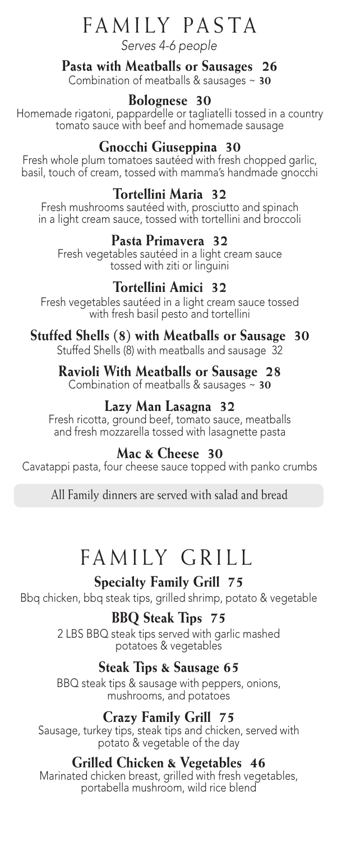## FAMILY PASTA

*Serves 4-6 people*

#### **Pasta with Meatballs or Sausages 26**

Combination of meatballs & sausages ~ **30**

#### **Bolognese 30**

Homemade rigatoni, pappardelle or tagliatelli tossed in a country tomato sauce with beef and homemade sausage

#### **Gnocchi Giuseppina 30**

Fresh whole plum tomatoes sautéed with fresh chopped garlic, basil, touch of cream, tossed with mamma's handmade gnocchi

#### **Tortellini Maria 32**

Fresh mushrooms sautéed with, prosciutto and spinach in a light cream sauce, tossed with tortellini and broccoli

#### **Pasta Primavera 32**

Fresh vegetables sautéed in a light cream sauce tossed with ziti or linguini

#### **Tortellini Amici 32**

Fresh vegetables sautéed in a light cream sauce tossed with fresh basil pesto and tortellini

#### **Stuffed Shells (8) with Meatballs or Sausage 30**

Stuffed Shells (8) with meatballs and sausage 32

#### **Ravioli With Meatballs or Sausage 28**

Combination of meatballs & sausages ~ **30**

#### **Lazy Man Lasagna 32**

Fresh ricotta, ground beef, tomato sauce, meatballs and fresh mozzarella tossed with lasagnette pasta

#### **Mac & Cheese 30**

Cavatappi pasta, four cheese sauce topped with panko crumbs

All Family dinners are served with salad and bread

### FAMILY GRILL

#### **Specialty Family Grill 75**

Bbq chicken, bbq steak tips, grilled shrimp, potato & vegetable

#### **BBQ Steak Tips 75**

2 LBS BBQ steak tips served with garlic mashed potatoes & vegetables

#### **Steak Tips & Sausage 65**

BBQ steak tips & sausage with peppers, onions, mushrooms, and potatoes

#### **Crazy Family Grill 75**

Sausage, turkey tips, steak tips and chicken, served with potato & vegetable of the day

#### **Grilled Chicken & Vegetables 46**

Marinated chicken breast, grilled with fresh vegetables, portabella mushroom, wild rice blend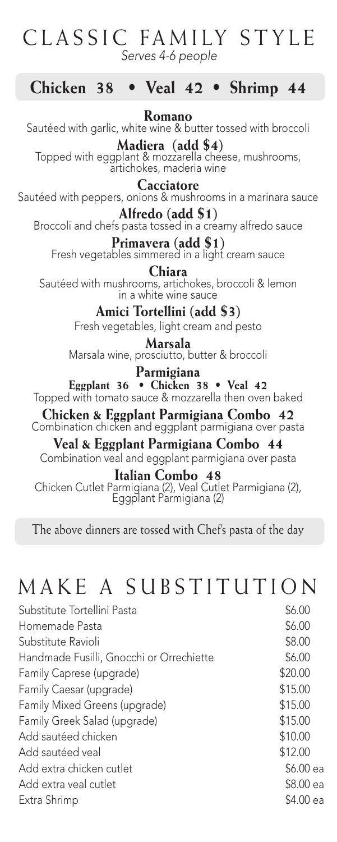### CLASSIC FAMILY STYLE *Serves 4-6 people*

#### **Chicken 38 • Veal 42 • Shrimp 44**

**Romano** Sautéed with garlic, white wine & butter tossed with broccoli

 **Madiera (add \$4)** Topped with eggplant & mozzarella cheese, mushrooms, artichokes, maderia wine

#### **Cacciatore**

Sautéed with peppers, onions & mushrooms in a marinara sauce

**Alfredo (add \$1)** Broccoli and chefs pasta tossed in a creamy alfredo sauce

**Primavera (add \$1)** Fresh vegetables simmered in a light cream sauce

**Chiara** Sautéed with mushrooms, artichokes, broccoli & lemon in a white wine sauce

> **Amici Tortellini (add \$3)** Fresh vegetables, light cream and pesto

**Marsala** Marsala wine, prosciutto, butter & broccoli

**Parmigiana Eggplant 36 • Chicken 38 • Veal 42** Topped with tomato sauce & mozzarella then oven baked

**Chicken & Eggplant Parmigiana Combo 42** Combination chicken and eggplant parmigiana over pasta

**Veal & Eggplant Parmigiana Combo 44** Combination veal and eggplant parmigiana over pasta

**Italian Combo 48** Chicken Cutlet Parmigiana (2), Veal Cutlet Parmigiana (2), Eggplant Parmigiana (2)

The above dinners are tossed with Chef's pasta of the day

### MAKE A SUBSTITUTION

| Substitute Tortellini Pasta              | \$6.00    |
|------------------------------------------|-----------|
| Homemade Pasta                           | \$6.00    |
| Substitute Ravioli                       | \$8.00    |
| Handmade Fusilli, Gnocchi or Orrechiette | \$6.00    |
| Family Caprese (upgrade)                 | \$20.00   |
| Family Caesar (upgrade)                  | \$15.00   |
| Family Mixed Greens (upgrade)            | \$15.00   |
| Family Greek Salad (upgrade)             | \$15.00   |
| Add sautéed chicken                      | \$10.00   |
| Add sautéed veal                         | \$12.00   |
| Add extra chicken cutlet                 | \$6.00 ea |
| Add extra yeal cutlet                    | \$8.00 ea |
| Extra Shrimp                             | \$4.00 ea |
|                                          |           |